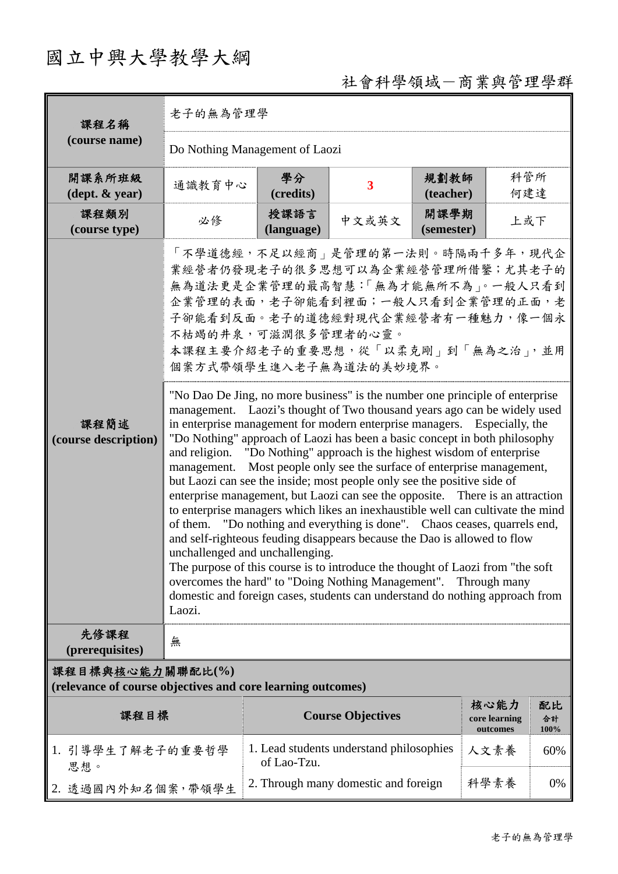## 國立中興大學教學大綱

## 社會科學領域-商業與管理學群

| 課程名稱<br>(course name)                                                           | 老子的無為管理學                                                                                                                                                                                                                                                                                                                                                                                                                                                                                                                                                                                                                                                                                                                                                                                                                                                                                                                                                                                                                                                                                                                                                                                                                                                                                                                                                                                                                                                        |                                                         |                          |                   |                                   |                  |  |  |  |
|---------------------------------------------------------------------------------|-----------------------------------------------------------------------------------------------------------------------------------------------------------------------------------------------------------------------------------------------------------------------------------------------------------------------------------------------------------------------------------------------------------------------------------------------------------------------------------------------------------------------------------------------------------------------------------------------------------------------------------------------------------------------------------------------------------------------------------------------------------------------------------------------------------------------------------------------------------------------------------------------------------------------------------------------------------------------------------------------------------------------------------------------------------------------------------------------------------------------------------------------------------------------------------------------------------------------------------------------------------------------------------------------------------------------------------------------------------------------------------------------------------------------------------------------------------------|---------------------------------------------------------|--------------------------|-------------------|-----------------------------------|------------------|--|--|--|
|                                                                                 | Do Nothing Management of Laozi                                                                                                                                                                                                                                                                                                                                                                                                                                                                                                                                                                                                                                                                                                                                                                                                                                                                                                                                                                                                                                                                                                                                                                                                                                                                                                                                                                                                                                  |                                                         |                          |                   |                                   |                  |  |  |  |
| 開課系所班級<br>$(\text{dept.} \& \text{ year})$                                      | 通識教育中心                                                                                                                                                                                                                                                                                                                                                                                                                                                                                                                                                                                                                                                                                                                                                                                                                                                                                                                                                                                                                                                                                                                                                                                                                                                                                                                                                                                                                                                          | 學分<br>(credits)                                         | $\overline{\mathbf{3}}$  | 規劃教師<br>(teacher) | 科管所<br>何建達                        |                  |  |  |  |
| 課程類別<br>(course type)                                                           | 必修                                                                                                                                                                                                                                                                                                                                                                                                                                                                                                                                                                                                                                                                                                                                                                                                                                                                                                                                                                                                                                                                                                                                                                                                                                                                                                                                                                                                                                                              | 授課語言<br>(language)                                      | 中文或英文                    | 開課學期              | 上或下                               |                  |  |  |  |
| 課程簡述<br>(course description)                                                    | (semester)<br>「不學道德經,不足以經商   是管理的第一法則。時隔兩千多年,現代企<br>業經營者仍發現老子的很多思想可以為企業經營管理所借鑒;尤其老子的<br>無為道法更是企業管理的最高智慧:「無為才能無所不為」。一般人只看到<br>企業管理的表面,老子卻能看到裡面;一般人只看到企業管理的正面,老<br>子卻能看到反面。老子的道德經對現代企業經營者有一種魅力,像一個永<br>不枯竭的井泉,可滋潤很多管理者的心靈。<br>本課程主要介紹老子的重要思想,從「以柔克剛」到「無為之治」,並用<br>個案方式帶領學生進入老子無為道法的美妙境界。<br>"No Dao De Jing, no more business" is the number one principle of enterprise<br>management. Laozi's thought of Two thousand years ago can be widely used<br>in enterprise management for modern enterprise managers. Especially, the<br>"Do Nothing" approach of Laozi has been a basic concept in both philosophy<br>and religion. "Do Nothing" approach is the highest wisdom of enterprise<br>Most people only see the surface of enterprise management,<br>management.<br>but Laozi can see the inside; most people only see the positive side of<br>enterprise management, but Laozi can see the opposite. There is an attraction<br>to enterprise managers which likes an inexhaustible well can cultivate the mind<br>of them. "Do nothing and everything is done". Chaos ceases, quarrels end,<br>and self-righteous feuding disappears because the Dao is allowed to flow<br>unchallenged and unchallenging.<br>The purpose of this course is to introduce the thought of Laozi from "the soft"<br>overcomes the hard" to "Doing Nothing Management". Through many<br>domestic and foreign cases, students can understand do nothing approach from<br>Laozi. |                                                         |                          |                   |                                   |                  |  |  |  |
| 先修課程<br>(prerequisites)                                                         | 無                                                                                                                                                                                                                                                                                                                                                                                                                                                                                                                                                                                                                                                                                                                                                                                                                                                                                                                                                                                                                                                                                                                                                                                                                                                                                                                                                                                                                                                               |                                                         |                          |                   |                                   |                  |  |  |  |
| 課程目標與核心能力關聯配比(%)<br>(relevance of course objectives and core learning outcomes) |                                                                                                                                                                                                                                                                                                                                                                                                                                                                                                                                                                                                                                                                                                                                                                                                                                                                                                                                                                                                                                                                                                                                                                                                                                                                                                                                                                                                                                                                 |                                                         |                          |                   |                                   |                  |  |  |  |
| 課程目標                                                                            |                                                                                                                                                                                                                                                                                                                                                                                                                                                                                                                                                                                                                                                                                                                                                                                                                                                                                                                                                                                                                                                                                                                                                                                                                                                                                                                                                                                                                                                                 |                                                         | <b>Course Objectives</b> |                   | 核心能力<br>core learning<br>outcomes | 配比<br>合計<br>100% |  |  |  |
| 1. 引導學生了解老子的重要哲學<br>思想。                                                         |                                                                                                                                                                                                                                                                                                                                                                                                                                                                                                                                                                                                                                                                                                                                                                                                                                                                                                                                                                                                                                                                                                                                                                                                                                                                                                                                                                                                                                                                 | 1. Lead students understand philosophies<br>of Lao-Tzu. |                          |                   | 人文素養                              | 60%              |  |  |  |
| 2. 透過國內外知名個案,帶領學生                                                               |                                                                                                                                                                                                                                                                                                                                                                                                                                                                                                                                                                                                                                                                                                                                                                                                                                                                                                                                                                                                                                                                                                                                                                                                                                                                                                                                                                                                                                                                 | 2. Through many domestic and foreign                    |                          | 科學素養              | 0%                                |                  |  |  |  |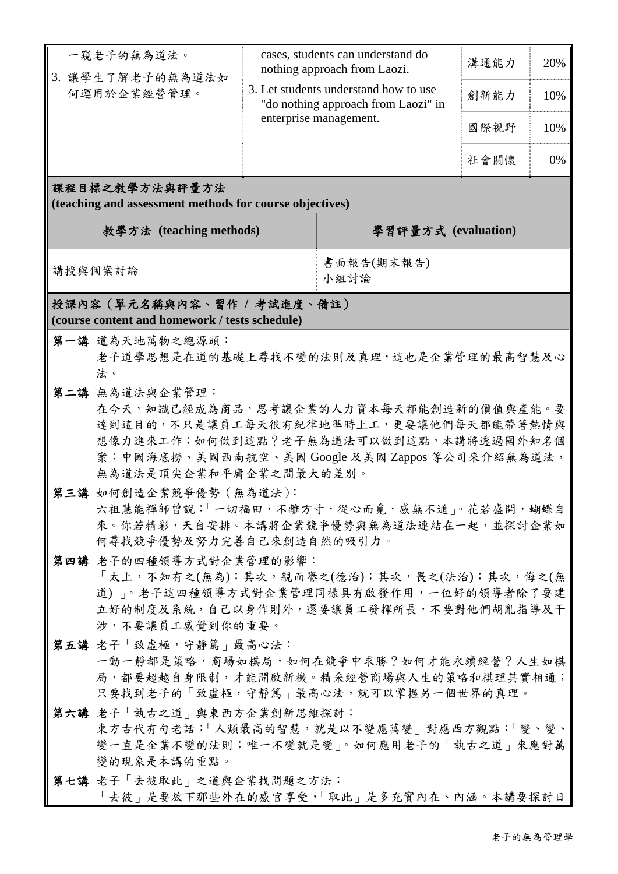|                                                                              | 一窺老子的無為道法。<br>3. 讓學生了解老子的無為道法如                                                       | cases, students can understand do<br>nothing approach from Laozi.            |                        | 溝通能力 | 20% |  |  |  |  |  |
|------------------------------------------------------------------------------|--------------------------------------------------------------------------------------|------------------------------------------------------------------------------|------------------------|------|-----|--|--|--|--|--|
|                                                                              | 何運用於企業經營管理。                                                                          | 3. Let students understand how to use<br>"do nothing approach from Laozi" in |                        | 創新能力 | 10% |  |  |  |  |  |
|                                                                              |                                                                                      |                                                                              | enterprise management. | 國際視野 | 10% |  |  |  |  |  |
|                                                                              |                                                                                      |                                                                              |                        | 社會關懷 | 0%  |  |  |  |  |  |
| 課程目標之教學方法與評量方法<br>(teaching and assessment methods for course objectives)    |                                                                                      |                                                                              |                        |      |     |  |  |  |  |  |
| 教學方法 (teaching methods)                                                      |                                                                                      |                                                                              | 學習評量方式 (evaluation)    |      |     |  |  |  |  |  |
| 講授與個案討論                                                                      |                                                                                      |                                                                              | 書面報告(期末報告)<br>小組討論     |      |     |  |  |  |  |  |
| 授課內容(單元名稱與內容、習作 / 考試進度、備註)<br>(course content and homework / tests schedule) |                                                                                      |                                                                              |                        |      |     |  |  |  |  |  |
|                                                                              |                                                                                      |                                                                              |                        |      |     |  |  |  |  |  |
| 第一講 道為天地萬物之總源頭:                                                              |                                                                                      |                                                                              |                        |      |     |  |  |  |  |  |
| 老子道學思想是在道的基礎上尋找不變的法則及真理,這也是企業管理的最高智慧及心                                       |                                                                                      |                                                                              |                        |      |     |  |  |  |  |  |
|                                                                              | 法。                                                                                   |                                                                              |                        |      |     |  |  |  |  |  |
|                                                                              | 第二講 無為道法與企業管理:                                                                       |                                                                              |                        |      |     |  |  |  |  |  |
|                                                                              | 在今天,知識已經成為商品,思考讓企業的人力資本每天都能創造新的價值與產能。要                                               |                                                                              |                        |      |     |  |  |  |  |  |
|                                                                              | 達到這目的,不只是讓員工每天很有紀律地準時上工,更要讓他們每天都能帶著熱情與                                               |                                                                              |                        |      |     |  |  |  |  |  |
|                                                                              | 想像力進來工作;如何做到這點?老子無為道法可以做到這點,本講將透過國外知名個                                               |                                                                              |                        |      |     |  |  |  |  |  |
|                                                                              | 案:中國海底撈、美國西南航空、美國 Google 及美國 Zappos 等公司來介紹無為道法,<br>無為道法是頂尖企業和平庸企業之間最大的差別。            |                                                                              |                        |      |     |  |  |  |  |  |
|                                                                              |                                                                                      |                                                                              |                        |      |     |  |  |  |  |  |
|                                                                              | 第三講 如何創造企業競爭優勢 (無為道法):                                                               |                                                                              |                        |      |     |  |  |  |  |  |
|                                                                              | 六祖慧能禪師曾說:「一切福田,不離方寸,從心而覓,感無不通」。花若盛開,蝴蝶自<br>來。你若精彩,天自安排。本講將企業競爭優勢與無為道法連結在一起,並探討企業如    |                                                                              |                        |      |     |  |  |  |  |  |
|                                                                              | 何尋找競爭優勢及努力完善自己來創造自然的吸引力。                                                             |                                                                              |                        |      |     |  |  |  |  |  |
|                                                                              | 第四講 老子的四種領導方式對企業管理的影響:                                                               |                                                                              |                        |      |     |  |  |  |  |  |
|                                                                              |                                                                                      |                                                                              |                        |      |     |  |  |  |  |  |
|                                                                              | 「太上,不知有之(無為);其次,親而譽之(德治);其次,畏之(法治);其次,侮之(無<br>道) 。老子這四種領導方式對企業管理同樣具有啟發作用,一位好的領導者除了要建 |                                                                              |                        |      |     |  |  |  |  |  |
|                                                                              | 立好的制度及系統,自己以身作則外,還要讓員工發揮所長,不要對他們胡亂指導及干                                               |                                                                              |                        |      |     |  |  |  |  |  |
|                                                                              | 涉,不要讓員工感覺到你的重要。                                                                      |                                                                              |                        |      |     |  |  |  |  |  |
|                                                                              | 第五講 老子「致虛極,守靜篤」最高心法:                                                                 |                                                                              |                        |      |     |  |  |  |  |  |
|                                                                              | 一動一靜都是策略,商場如棋局,如何在競爭中求勝?如何才能永續經營?人生如棋                                                |                                                                              |                        |      |     |  |  |  |  |  |
|                                                                              | 局,都要超越自身限制,才能開啟新機。精采經營商場與人生的策略和棋理其實相通;                                               |                                                                              |                        |      |     |  |  |  |  |  |
|                                                                              | 只要找到老子的「致虛極,守靜篤」最高心法,就可以掌握另一個世界的真理。                                                  |                                                                              |                        |      |     |  |  |  |  |  |
|                                                                              | 第六講 老子「執古之道」與東西方企業創新思維探討:                                                            |                                                                              |                        |      |     |  |  |  |  |  |
|                                                                              | 東方古代有句老話:「人類最高的智慧,就是以不變應萬變」對應西方觀點:「變、變、                                              |                                                                              |                        |      |     |  |  |  |  |  |
|                                                                              | 變一直是企業不變的法則;唯一不變就是變」。如何應用老子的「執古之道」來應對萬                                               |                                                                              |                        |      |     |  |  |  |  |  |
|                                                                              | 變的現象是本講的重點。                                                                          |                                                                              |                        |      |     |  |  |  |  |  |
|                                                                              | 第七講 老子「去彼取此」之道與企業找問題之方法:                                                             |                                                                              |                        |      |     |  |  |  |  |  |
|                                                                              | 「去彼」是要放下那些外在的感官享受,「取此」是多充實內在、內涵。本講要探討日                                               |                                                                              |                        |      |     |  |  |  |  |  |
|                                                                              |                                                                                      |                                                                              |                        |      |     |  |  |  |  |  |